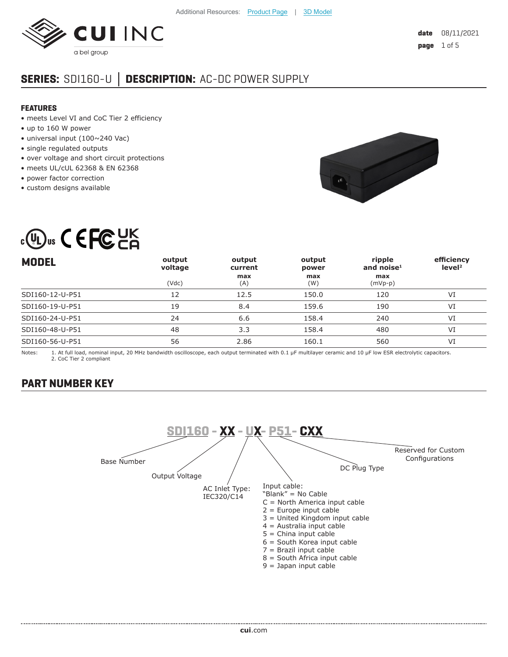

# **SERIES:** SDI160-U **│ DESCRIPTION:** AC-DC POWER SUPPLY

#### **FEATURES**

- meets Level VI and CoC Tier 2 efficiency
- up to 160 W power
- universal input (100~240 Vac)
- single regulated outputs
- over voltage and short circuit protections
- meets UL/cUL 62368 & EN 62368
- power factor correction
- custom designs available



# $_{c}$  (U)<sub>us</sub>  $\zeta$   $\in$  FC UK

| <b>MODEL</b>    | output<br>voltage | output<br>current | output<br>power | ripple<br>and noise $1$ | efficiency<br>level <sup>2</sup> |
|-----------------|-------------------|-------------------|-----------------|-------------------------|----------------------------------|
|                 | (Vdc)             | max<br>(A)        | max<br>(W)      | max<br>(mVp-p)          |                                  |
| SDI160-12-U-P51 | 12                | 12.5              | 150.0           | 120                     | VI                               |
| SDI160-19-U-P51 | 19                | 8.4               | 159.6           | 190                     | VI                               |
| SDI160-24-U-P51 | 24                | 6.6               | 158.4           | 240                     | VI                               |
| SDI160-48-U-P51 | 48                | 3.3               | 158.4           | 480                     | VI                               |
| SDI160-56-U-P51 | 56                | 2.86              | 160.1           | 560                     | VI                               |

Notes: 1. At full load, nominal input, 20 MHz bandwidth oscilloscope, each output terminated with 0.1 μF multilayer ceramic and 10 μF low ESR electrolytic capacitors. 2. CoC Tier 2 compliant

## **PART NUMBER KEY**

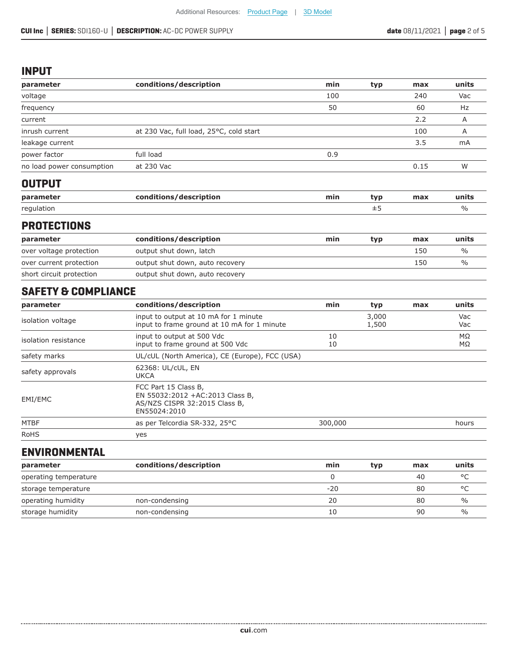#### **INPUT**

| parameter                 | conditions/description                  | min | typ | max  | units |
|---------------------------|-----------------------------------------|-----|-----|------|-------|
| voltage                   |                                         | 100 |     | 240  | Vac   |
| frequency                 |                                         | 50  |     | 60   | Hz    |
| current                   |                                         |     |     | 2.2  | A     |
| inrush current            | at 230 Vac, full load, 25°C, cold start |     |     | 100  | Α     |
| leakage current           |                                         |     |     | 3.5  | mA    |
| power factor              | full load                               | 0.9 |     |      |       |
| no load power consumption | at 230 Vac                              |     |     | 0.15 | W     |

# **OUTPUT**

| param      | ---<br>description | min<br>------ | "ווי | max | units |
|------------|--------------------|---------------|------|-----|-------|
| regulation |                    |               |      |     |       |

#### **PROTECTIONS**

| parameter                | conditions/description          | min | typ | max | units         |
|--------------------------|---------------------------------|-----|-----|-----|---------------|
| over voltage protection  | output shut down, latch         |     |     | 150 | $\frac{0}{0}$ |
| over current protection  | output shut down, auto recovery |     |     | 150 | $\frac{0}{0}$ |
| short circuit protection | output shut down, auto recovery |     |     |     |               |

# **SAFETY & COMPLIANCE**

| parameter            | conditions/description                                                                                   | min      | typ            | max | units           |
|----------------------|----------------------------------------------------------------------------------------------------------|----------|----------------|-----|-----------------|
| isolation voltage    | input to output at 10 mA for 1 minute<br>input to frame ground at 10 mA for 1 minute                     |          | 3,000<br>1,500 |     | Vac<br>Vac      |
| isolation resistance | input to output at 500 Vdc<br>input to frame ground at 500 Vdc                                           | 10<br>10 |                |     | $M\Omega$<br>MΩ |
| safety marks         | UL/cUL (North America), CE (Europe), FCC (USA)                                                           |          |                |     |                 |
| safety approvals     | 62368: UL/cUL, EN<br><b>UKCA</b>                                                                         |          |                |     |                 |
| EMI/EMC              | FCC Part 15 Class B,<br>EN 55032:2012 +AC:2013 Class B,<br>AS/NZS CISPR 32:2015 Class B,<br>EN55024:2010 |          |                |     |                 |
| <b>MTBF</b>          | as per Telcordia SR-332, 25°C                                                                            | 300,000  |                |     | hours           |
| <b>RoHS</b>          | yes                                                                                                      |          |                |     |                 |

# **ENVIRONMENTAL**

| parameter             | conditions/description | min   | typ | max | units         |
|-----------------------|------------------------|-------|-----|-----|---------------|
| operating temperature |                        |       |     | 40  | $\circ$       |
| storage temperature   |                        | $-20$ |     | 80  | $\circ$       |
| operating humidity    | non-condensing         | 20    |     | 80  | %             |
| storage humidity      | non-condensing         | 10    |     | 90  | $\frac{1}{2}$ |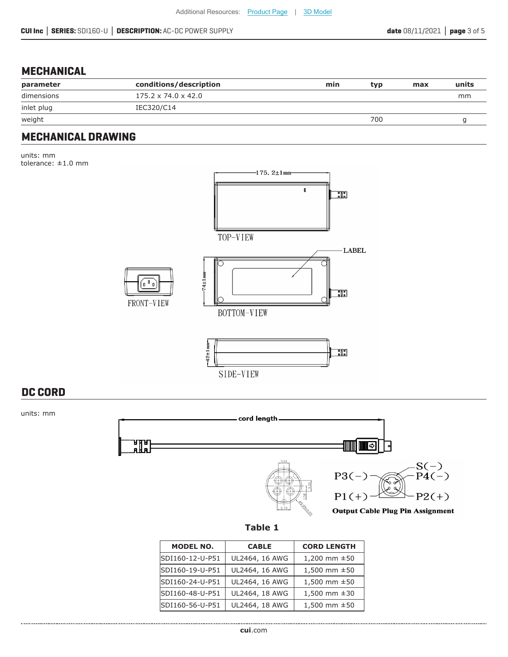# **MECHANICAL**

| parameter  | conditions/description          | min | tvp | max | units |
|------------|---------------------------------|-----|-----|-----|-------|
| dimensions | $175.2 \times 74.0 \times 42.0$ |     |     |     | mm    |
| inlet plug | IEC320/C14                      |     |     |     |       |
| weight     |                                 |     | 700 |     |       |

#### **MECHANICAL DRAWING**

units: mm tolerance: ±1.0 mm



SIDE-VIEW

# **DC CORD**

units: mm





| <b>CABLE</b>   | <b>CORD LENGTH</b> |
|----------------|--------------------|
| UL2464, 16 AWG | 1,200 mm $\pm 50$  |
| UL2464, 16 AWG | 1,500 mm ±50       |
| UL2464, 16 AWG | 1,500 mm $\pm 50$  |
| UL2464, 18 AWG | 1,500 mm $\pm 30$  |
| UL2464, 18 AWG | 1,500 mm $\pm 50$  |
|                |                    |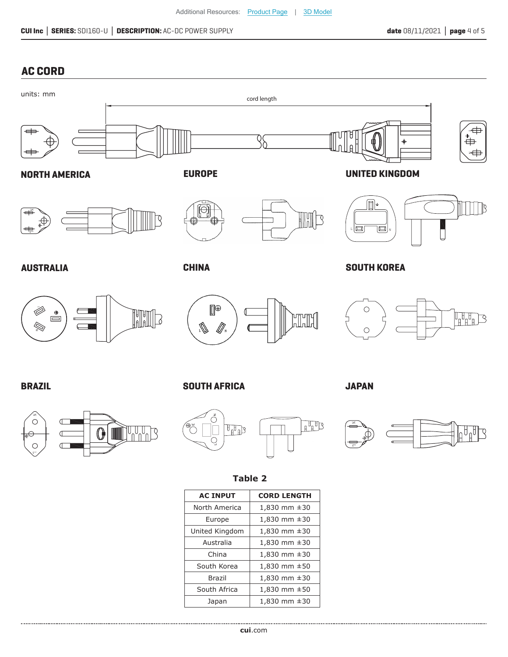# **AC CORD**



China  $\vert$  1,830 mm  $\pm$ 30 South Korea  $\begin{vmatrix} 1,830 \text{ mm } \pm 50 \end{vmatrix}$ Brazil 1,830 mm ±30 South Africa  $\begin{vmatrix} 1,830 \text{ mm } \pm 50 \end{vmatrix}$ Japan  $\Big|$  1,830 mm  $\pm 30$